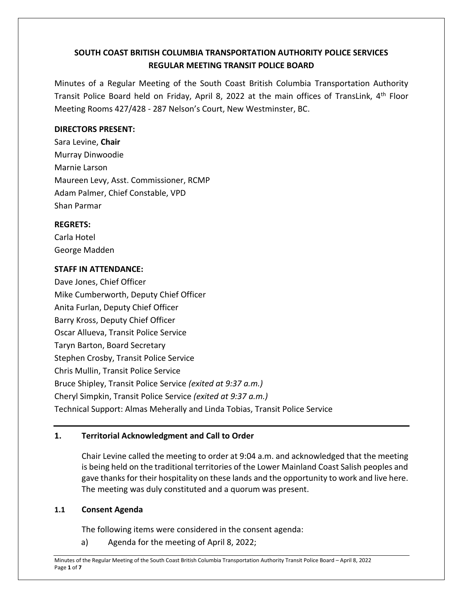# **SOUTH COAST BRITISH COLUMBIA TRANSPORTATION AUTHORITY POLICE SERVICES REGULAR MEETING TRANSIT POLICE BOARD**

Minutes of a Regular Meeting of the South Coast British Columbia Transportation Authority Transit Police Board held on Friday, April 8, 2022 at the main offices of TransLink, 4<sup>th</sup> Floor Meeting Rooms 427/428 - 287 Nelson's Court, New Westminster, BC.

## **DIRECTORS PRESENT:**

Sara Levine, **Chair** Murray Dinwoodie Marnie Larson Maureen Levy, Asst. Commissioner, RCMP Adam Palmer, Chief Constable, VPD Shan Parmar

## **REGRETS:**

Carla Hotel George Madden

## **STAFF IN ATTENDANCE:**

Dave Jones, Chief Officer Mike Cumberworth, Deputy Chief Officer Anita Furlan, Deputy Chief Officer Barry Kross, Deputy Chief Officer Oscar Allueva, Transit Police Service Taryn Barton, Board Secretary Stephen Crosby, Transit Police Service Chris Mullin, Transit Police Service Bruce Shipley, Transit Police Service *(exited at 9:37 a.m.)* Cheryl Simpkin, Transit Police Service *(exited at 9:37 a.m.)* Technical Support: Almas Meherally and Linda Tobias, Transit Police Service

# **1. Territorial Acknowledgment and Call to Order**

Chair Levine called the meeting to order at 9:04 a.m. and acknowledged that the meeting is being held on the traditional territories of the Lower Mainland Coast Salish peoples and gave thanks for their hospitality on these lands and the opportunity to work and live here. The meeting was duly constituted and a quorum was present.

#### **1.1 Consent Agenda**

The following items were considered in the consent agenda:

a) Agenda for the meeting of April 8, 2022;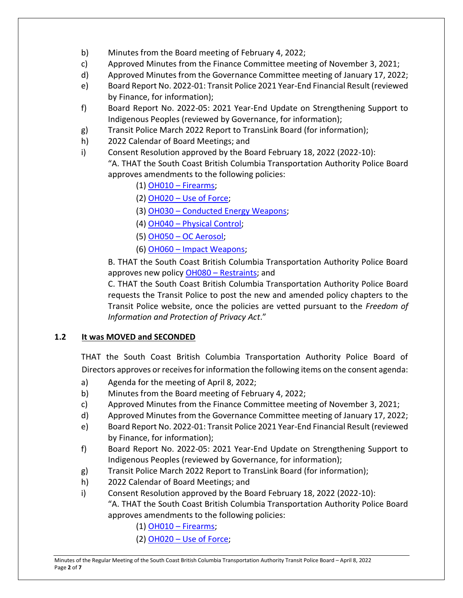- b) Minutes from the Board meeting of February 4, 2022;
- c) Approved Minutes from the Finance Committee meeting of November 3, 2021;
- d) Approved Minutes from the Governance Committee meeting of January 17, 2022;
- e) Board Report No. 2022-01: Transit Police 2021 Year-End Financial Result (reviewed by Finance, for information);
- f) Board Report No. 2022-05: 2021 Year-End Update on Strengthening Support to Indigenous Peoples (reviewed by Governance, for information);
- g) Transit Police March 2022 Report to TransLink Board (for information);
- h) 2022 Calendar of Board Meetings; and
- i) Consent Resolution approved by the Board February 18, 2022 (2022-10): "A. THAT the South Coast British Columbia Transportation Authority Police Board approves amendments to the following policies:
	- (1) OH010 [Firearms;](https://transitpolice.ca/wp-content/uploads/2022/03/OH010-Firearms-TP2022-02-18_Redacted.secured.pdf)
	- (2) OH020 [Use of Force;](https://transitpolice.ca/wp-content/uploads/2022/03/OH020-Use-of-Force-TP2022-02-18_Redacted.secured.pdf)
	- (3) OH030 [Conducted Energy Weapons;](https://transitpolice.ca/wp-content/uploads/2022/03/OH030-Conducted-Energy-Weapon-TP2022-02-18_Redacted.secured.pdf)
	- (4) OH040 [Physical Control;](https://transitpolice.ca/wp-content/uploads/2022/03/OH040-Physical-Control-TP2022-02-18_Redacted.secured.pdf)
	- (5) OH050 [OC Aerosol;](https://transitpolice.ca/wp-content/uploads/2022/03/OH050-OC-Aerosol-TP2022-02-18_Redacted.secured.pdf)
	- (6) OH060 [Impact Weapons;](https://transitpolice.ca/wp-content/uploads/2022/03/OH060-Impact-Weapons-TP2022-02-18_Redacted.secured.pdf)

B. THAT the South Coast British Columbia Transportation Authority Police Board approves new policy OH080 – [Restraints;](https://transitpolice.ca/wp-content/uploads/2022/03/OH080-Restraints-TP2022-02-18_Redacted.pdf) and

C. THAT the South Coast British Columbia Transportation Authority Police Board requests the Transit Police to post the new and amended policy chapters to the Transit Police website, once the policies are vetted pursuant to the *Freedom of Information and Protection of Privacy Act*."

# **1.2 It was MOVED and SECONDED**

THAT the South Coast British Columbia Transportation Authority Police Board of Directors approves or receives for information the following items on the consent agenda:

- a) Agenda for the meeting of April 8, 2022;
- b) Minutes from the Board meeting of February 4, 2022;
- c) Approved Minutes from the Finance Committee meeting of November 3, 2021;
- d) Approved Minutes from the Governance Committee meeting of January 17, 2022;
- e) Board Report No. 2022-01: Transit Police 2021 Year-End Financial Result (reviewed by Finance, for information);
- f) Board Report No. 2022-05: 2021 Year-End Update on Strengthening Support to Indigenous Peoples (reviewed by Governance, for information);
- g) Transit Police March 2022 Report to TransLink Board (for information);
- h) 2022 Calendar of Board Meetings; and
- i) Consent Resolution approved by the Board February 18, 2022 (2022-10): "A. THAT the South Coast British Columbia Transportation Authority Police Board approves amendments to the following policies:
	- (1) OH010 [Firearms;](https://transitpolice.ca/wp-content/uploads/2022/03/OH010-Firearms-TP2022-02-18_Redacted.secured.pdf)
	- (2) OH020 [Use of Force;](https://transitpolice.ca/wp-content/uploads/2022/03/OH020-Use-of-Force-TP2022-02-18_Redacted.secured.pdf)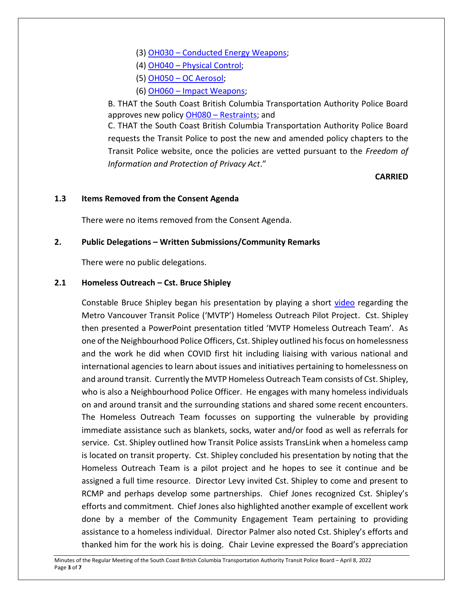- (3) OH030 [Conducted Energy Weapons;](https://transitpolice.ca/wp-content/uploads/2022/03/OH030-Conducted-Energy-Weapon-TP2022-02-18_Redacted.secured.pdf)
- (4) OH040 [Physical Control;](https://transitpolice.ca/wp-content/uploads/2022/03/OH040-Physical-Control-TP2022-02-18_Redacted.secured.pdf)
- (5) OH050 [OC Aerosol;](https://transitpolice.ca/wp-content/uploads/2022/03/OH050-OC-Aerosol-TP2022-02-18_Redacted.secured.pdf)
- (6) OH060 [Impact Weapons;](https://transitpolice.ca/wp-content/uploads/2022/03/OH060-Impact-Weapons-TP2022-02-18_Redacted.secured.pdf)

B. THAT the South Coast British Columbia Transportation Authority Police Board approves new policy OH080 – [Restraints;](https://transitpolice.ca/wp-content/uploads/2022/03/OH080-Restraints-TP2022-02-18_Redacted.pdf) and

C. THAT the South Coast British Columbia Transportation Authority Police Board requests the Transit Police to post the new and amended policy chapters to the Transit Police website, once the policies are vetted pursuant to the *Freedom of Information and Protection of Privacy Act*."

#### **CARRIED**

#### **1.3 Items Removed from the Consent Agenda**

There were no items removed from the Consent Agenda.

#### **2. Public Delegations – Written Submissions/Community Remarks**

There were no public delegations.

## **2.1 Homeless Outreach – Cst. Bruce Shipley**

Constable Bruce Shipley began his presentation by playing a short [video](https://www.youtube.com/watch?v=23egJ2jGGQE) regarding the Metro Vancouver Transit Police ('MVTP') Homeless Outreach Pilot Project. Cst. Shipley then presented a PowerPoint presentation titled 'MVTP Homeless Outreach Team'. As one of the Neighbourhood Police Officers, Cst. Shipley outlined his focus on homelessness and the work he did when COVID first hit including liaising with various national and international agencies to learn about issues and initiatives pertaining to homelessness on and around transit. Currently the MVTP Homeless Outreach Team consists of Cst. Shipley, who is also a Neighbourhood Police Officer. He engages with many homeless individuals on and around transit and the surrounding stations and shared some recent encounters. The Homeless Outreach Team focusses on supporting the vulnerable by providing immediate assistance such as blankets, socks, water and/or food as well as referrals for service. Cst. Shipley outlined how Transit Police assists TransLink when a homeless camp is located on transit property. Cst. Shipley concluded his presentation by noting that the Homeless Outreach Team is a pilot project and he hopes to see it continue and be assigned a full time resource. Director Levy invited Cst. Shipley to come and present to RCMP and perhaps develop some partnerships. Chief Jones recognized Cst. Shipley's efforts and commitment. Chief Jones also highlighted another example of excellent work done by a member of the Community Engagement Team pertaining to providing assistance to a homeless individual. Director Palmer also noted Cst. Shipley's efforts and thanked him for the work his is doing. Chair Levine expressed the Board's appreciation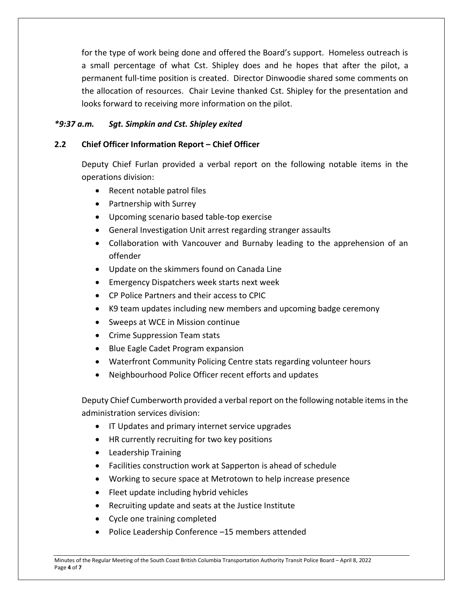for the type of work being done and offered the Board's support. Homeless outreach is a small percentage of what Cst. Shipley does and he hopes that after the pilot, a permanent full-time position is created. Director Dinwoodie shared some comments on the allocation of resources. Chair Levine thanked Cst. Shipley for the presentation and looks forward to receiving more information on the pilot.

## *\*9:37 a.m. Sgt. Simpkin and Cst. Shipley exited*

### **2.2 Chief Officer Information Report – Chief Officer**

Deputy Chief Furlan provided a verbal report on the following notable items in the operations division:

- Recent notable patrol files
- Partnership with Surrey
- Upcoming scenario based table-top exercise
- General Investigation Unit arrest regarding stranger assaults
- Collaboration with Vancouver and Burnaby leading to the apprehension of an offender
- Update on the skimmers found on Canada Line
- Emergency Dispatchers week starts next week
- CP Police Partners and their access to CPIC
- K9 team updates including new members and upcoming badge ceremony
- Sweeps at WCE in Mission continue
- Crime Suppression Team stats
- Blue Eagle Cadet Program expansion
- Waterfront Community Policing Centre stats regarding volunteer hours
- Neighbourhood Police Officer recent efforts and updates

Deputy Chief Cumberworth provided a verbal report on the following notable items in the administration services division:

- **IF Updates and primary internet service upgrades**
- HR currently recruiting for two key positions
- Leadership Training
- Facilities construction work at Sapperton is ahead of schedule
- Working to secure space at Metrotown to help increase presence
- Fleet update including hybrid vehicles
- Recruiting update and seats at the Justice Institute
- Cycle one training completed
- Police Leadership Conference -15 members attended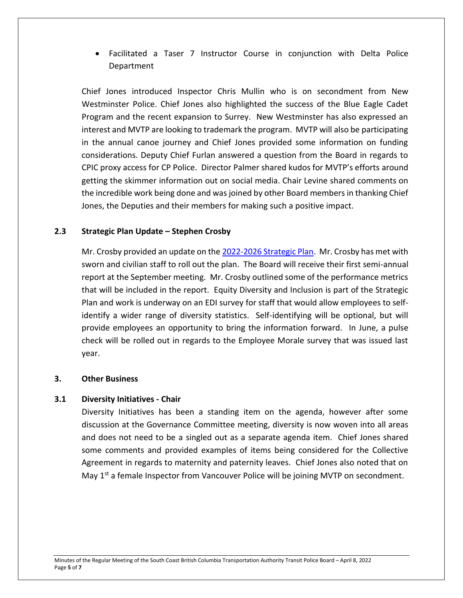Facilitated a Taser 7 Instructor Course in conjunction with Delta Police Department

Chief Jones introduced Inspector Chris Mullin who is on secondment from New Westminster Police. Chief Jones also highlighted the success of the Blue Eagle Cadet Program and the recent expansion to Surrey. New Westminster has also expressed an interest and MVTP are looking to trademark the program. MVTP will also be participating in the annual canoe journey and Chief Jones provided some information on funding considerations. Deputy Chief Furlan answered a question from the Board in regards to CPIC proxy access for CP Police. Director Palmer shared kudos for MVTP's efforts around getting the skimmer information out on social media. Chair Levine shared comments on the incredible work being done and was joined by other Board members in thanking Chief Jones, the Deputies and their members for making such a positive impact.

#### **2.3 Strategic Plan Update – Stephen Crosby**

Mr. Crosby provided an update on the [2022-2026 Strategic Plan.](https://transitpolice.ca/wp-content/uploads/2022/01/Transit-Police-Strategic-Plan-20211208-v10-FINAL-web-spreads.pdf) Mr. Crosby has met with sworn and civilian staff to roll out the plan. The Board will receive their first semi-annual report at the September meeting. Mr. Crosby outlined some of the performance metrics that will be included in the report. Equity Diversity and Inclusion is part of the Strategic Plan and work is underway on an EDI survey for staff that would allow employees to selfidentify a wider range of diversity statistics. Self-identifying will be optional, but will provide employees an opportunity to bring the information forward. In June, a pulse check will be rolled out in regards to the Employee Morale survey that was issued last year.

#### **3. Other Business**

#### **3.1 Diversity Initiatives - Chair**

Diversity Initiatives has been a standing item on the agenda, however after some discussion at the Governance Committee meeting, diversity is now woven into all areas and does not need to be a singled out as a separate agenda item. Chief Jones shared some comments and provided examples of items being considered for the Collective Agreement in regards to maternity and paternity leaves. Chief Jones also noted that on May 1<sup>st</sup> a female Inspector from Vancouver Police will be joining MVTP on secondment.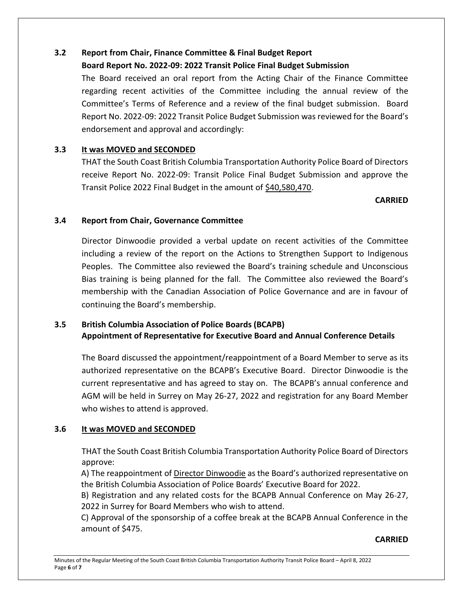# **3.2 Report from Chair, Finance Committee & Final Budget Report**

# **Board Report No. 2022-09: 2022 Transit Police Final Budget Submission**

The Board received an oral report from the Acting Chair of the Finance Committee regarding recent activities of the Committee including the annual review of the Committee's Terms of Reference and a review of the final budget submission. Board Report No. 2022-09: 2022 Transit Police Budget Submission was reviewed for the Board's endorsement and approval and accordingly:

# **3.3 It was MOVED and SECONDED**

THAT the South Coast British Columbia Transportation Authority Police Board of Directors receive Report No. 2022-09: Transit Police Final Budget Submission and approve the Transit Police 2022 Final Budget in the amount of \$40,580,470.

## **CARRIED**

# **3.4 Report from Chair, Governance Committee**

Director Dinwoodie provided a verbal update on recent activities of the Committee including a review of the report on the Actions to Strengthen Support to Indigenous Peoples. The Committee also reviewed the Board's training schedule and Unconscious Bias training is being planned for the fall. The Committee also reviewed the Board's membership with the Canadian Association of Police Governance and are in favour of continuing the Board's membership.

# **3.5 British Columbia Association of Police Boards (BCAPB) Appointment of Representative for Executive Board and Annual Conference Details**

The Board discussed the appointment/reappointment of a Board Member to serve as its authorized representative on the BCAPB's Executive Board. Director Dinwoodie is the current representative and has agreed to stay on. The BCAPB's annual conference and AGM will be held in Surrey on May 26-27, 2022 and registration for any Board Member who wishes to attend is approved.

# **3.6 It was MOVED and SECONDED**

THAT the South Coast British Columbia Transportation Authority Police Board of Directors approve:

A) The reappointment of Director Dinwoodie as the Board's authorized representative on the British Columbia Association of Police Boards' Executive Board for 2022.

B) Registration and any related costs for the BCAPB Annual Conference on May 26-27, 2022 in Surrey for Board Members who wish to attend.

C) Approval of the sponsorship of a coffee break at the BCAPB Annual Conference in the amount of \$475.

#### **CARRIED**